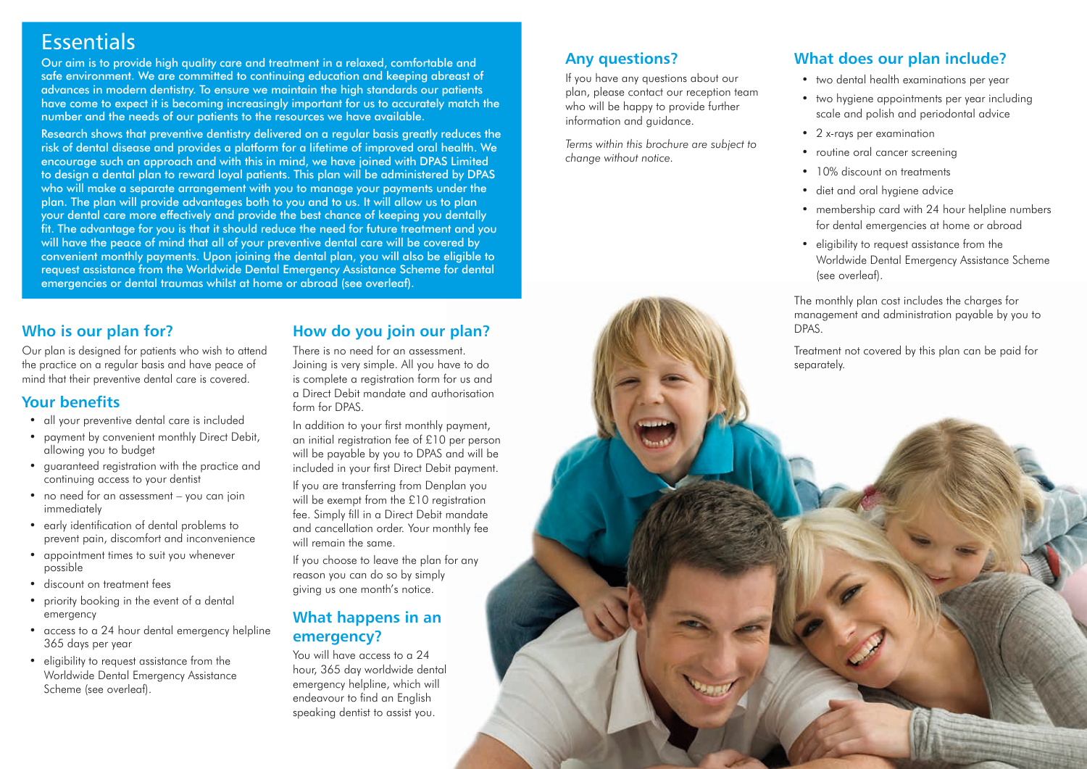## **Essentials**

Our aim is to provide high quality care and treatment in a relaxed, comfortable and safe environment. We are committed to continuing education and keeping abreast of advances in modern dentistry. To ensure we maintain the high standards our patients have come to expect it is becoming increasingly important for us to accurately match the number and the needs of our patients to the resources we have available.

Research shows that preventive dentistry delivered on a regular basis greatly reduces the risk of dental disease and provides a platform for a lifetime of improved oral health. We encourage such an approach and with this in mind, we have joined with DPAS Limited to design a dental plan to reward loyal patients. This plan will be administered by DPAS who will make a separate arrangement with you to manage your payments under the plan. The plan will provide advantages both to you and to us. It will allow us to plan your dental care more effectively and provide the best chance of keeping you dentally fit. The advantage for you is that it should reduce the need for future treatment and you will have the peace of mind that all of your preventive dental care will be covered by convenient monthly payments. Upon joining the dental plan, you will also be eligible to request assistance from the Worldwide Dental Emergency Assistance Scheme for dental emergencies or dental traumas whilst at home or abroad (see overleaf).

## **Who is our plan for?**

Our plan is designed for patients who wish to attend the practice on a regular basis and have peace of mind that their preventive dental care is covered.

## **Your benefits**

- all your preventive dental care is included
- payment by convenient monthly Direct Debit, allowing you to budget
- guaranteed registration with the practice and continuing access to your dentist
- no need for an assessment you can join immediately
- early identification of dental problems to prevent pain, discomfort and inconvenience
- appointment times to suit you whenever possible
- discount on treatment fees
- priority booking in the event of a dental emergency
- access to a 24 hour dental emergency helpline 365 days per year
- eligibility to request assistance from the Worldwide Dental Emergency Assistance Scheme (see overleaf).

#### **How do you join our plan?**

There is no need for an assessment. Joining is very simple. All you have to do is complete a registration form for us and a Direct Debit mandate and authorisation form for DPAS.

In addition to your first monthly payment, an initial registration fee of £10 per person will be payable by you to DPAS and will be included in your first Direct Debit payment.

If you are transferring from Denplan you will be exempt from the £10 registration fee. Simply fill in a Direct Debit mandate and cancellation order. Your monthly fee will remain the same.

If you choose to leave the plan for any reason you can do so by simply giving us one month's notice.

## **What happens in an emergency?**

You will have access to a 24 hour, 365 day worldwide dental emergency helpline, which will endeavour to find an English speaking dentist to assist you.

## **Any questions?**

If you have any questions about our plan, please contact our reception team who will be happy to provide further information and guidance.

*Terms within this brochure are subject to change without notice.*



## **What does our plan include?**

- two dental health examinations per year
- two hygiene appointments per year including scale and polish and periodontal advice
- 2 x-rays per examination
- routine oral cancer screening
- 10% discount on treatments
- diet and oral hygiene advice
- membership card with 24 hour helpline numbers for dental emergencies at home or abroad
- eligibility to request assistance from the Worldwide Dental Emergency Assistance Scheme (see overleaf).

The monthly plan cost includes the charges for management and administration payable by you to

Treatment not covered by this plan can be paid for